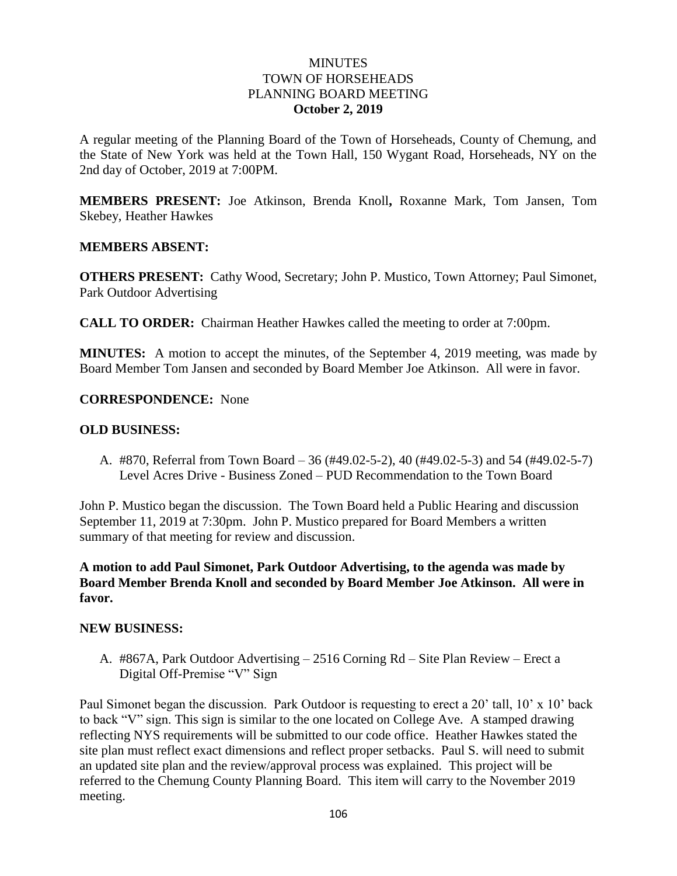# **MINUTES** TOWN OF HORSEHEADS PLANNING BOARD MEETING **October 2, 2019**

A regular meeting of the Planning Board of the Town of Horseheads, County of Chemung, and the State of New York was held at the Town Hall, 150 Wygant Road, Horseheads, NY on the 2nd day of October, 2019 at 7:00PM.

**MEMBERS PRESENT:** Joe Atkinson, Brenda Knoll**,** Roxanne Mark, Tom Jansen, Tom Skebey, Heather Hawkes

### **MEMBERS ABSENT:**

**OTHERS PRESENT:** Cathy Wood, Secretary; John P. Mustico, Town Attorney; Paul Simonet, Park Outdoor Advertising

**CALL TO ORDER:** Chairman Heather Hawkes called the meeting to order at 7:00pm.

**MINUTES:** A motion to accept the minutes, of the September 4, 2019 meeting, was made by Board Member Tom Jansen and seconded by Board Member Joe Atkinson. All were in favor.

**CORRESPONDENCE:** None

### **OLD BUSINESS:**

A. #870, Referral from Town Board – 36 (#49.02-5-2), 40 (#49.02-5-3) and 54 (#49.02-5-7) Level Acres Drive - Business Zoned – PUD Recommendation to the Town Board

John P. Mustico began the discussion. The Town Board held a Public Hearing and discussion September 11, 2019 at 7:30pm. John P. Mustico prepared for Board Members a written summary of that meeting for review and discussion.

**A motion to add Paul Simonet, Park Outdoor Advertising, to the agenda was made by Board Member Brenda Knoll and seconded by Board Member Joe Atkinson. All were in favor.**

#### **NEW BUSINESS:**

A. #867A, Park Outdoor Advertising – 2516 Corning Rd – Site Plan Review – Erect a Digital Off-Premise "V" Sign

Paul Simonet began the discussion. Park Outdoor is requesting to erect a 20' tall, 10' x 10' back to back "V" sign. This sign is similar to the one located on College Ave. A stamped drawing reflecting NYS requirements will be submitted to our code office. Heather Hawkes stated the site plan must reflect exact dimensions and reflect proper setbacks. Paul S. will need to submit an updated site plan and the review/approval process was explained. This project will be referred to the Chemung County Planning Board. This item will carry to the November 2019 meeting.